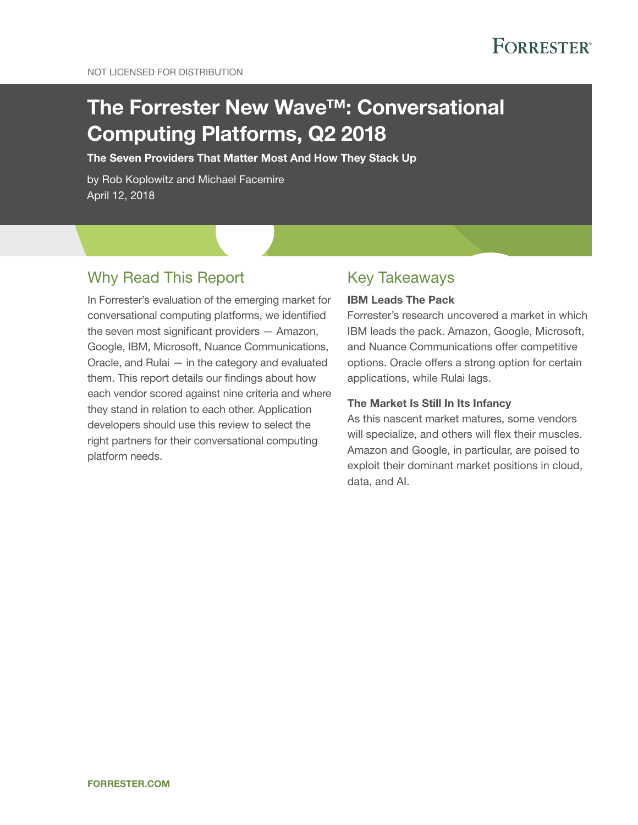# The Forrester New Wave™: Conversational Computing Platforms, Q2 2018

The Seven Providers That Matter Most And How They Stack Up

by Rob Koplowitz and Michael Facemire April 12, 2018

# Why Read This Report

In Forrester's evaluation of the emerging market for conversational computing platforms, we identified the seven most significant providers — Amazon, Google, IBM, Microsoft, Nuance Communications, Oracle, and Rulai — in the category and evaluated them. This report details our findings about how each vendor scored against nine criteria and where they stand in relation to each other. Application developers should use this review to select the right partners for their conversational computing platform needs.

# Key Takeaways

#### IBM Leads The Pack

Forrester's research uncovered a market in which IBM leads the pack. Amazon, Google, Microsoft, and Nuance Communications offer competitive options. Oracle offers a strong option for certain applications, while Rulai lags.

#### The Market Is Still In Its Infancy

As this nascent market matures, some vendors will specialize, and others will flex their muscles. Amazon and Google, in particular, are poised to exploit their dominant market positions in cloud, data, and AI.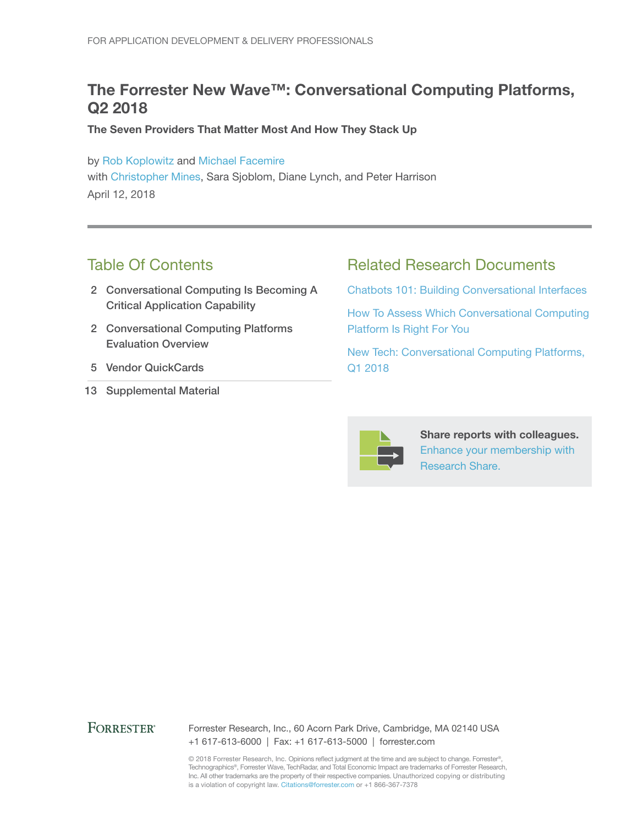# The Forrester New Wave™: Conversational Computing Platforms, Q2 2018

The Seven Providers That Matter Most And How They Stack Up

by [Rob Koplowitz](http://www.forrester.com/go?objectid=BIO1771) and [Michael Facemire](http://www.forrester.com/go?objectid=BIO4884) with [Christopher Mines,](http://www.forrester.com/go?objectid=BIO1803) Sara Sjoblom, Diane Lynch, and Peter Harrison April 12, 2018

# Table Of Contents

- 2 Conversational Computing Is Becoming A Critical Application Capability
- 2 Conversational Computing Platforms Evaluation Overview
- 5 Vendor QuickCards
- 13 Supplemental Material

# Related Research Documents

[Chatbots 101: Building Conversational Interfaces](http://www.forrester.com/go?objectid=RES136476)

[How To Assess Which Conversational Computing](http://www.forrester.com/go?objectid=RES138534)  [Platform Is Right For You](http://www.forrester.com/go?objectid=RES138534)

[New Tech: Conversational Computing Platforms,](http://www.forrester.com/go?objectid=RES137815)  [Q1 2018](http://www.forrester.com/go?objectid=RES137815)



Share reports with colleagues. [Enhance your membership with](https://go.forrester.com/research/research-share/?utm_source=forrester_com&utm_medium=banner&utm_content=featured&utm_campaign=research_share)  [Research Share.](https://go.forrester.com/research/research-share/?utm_source=forrester_com&utm_medium=banner&utm_content=featured&utm_campaign=research_share)

#### **FORRESTER®**

Forrester Research, Inc., 60 Acorn Park Drive, Cambridge, MA 02140 USA +1 617-613-6000 | Fax: +1 617-613-5000 | forrester.com

© 2018 Forrester Research, Inc. Opinions reflect judgment at the time and are subject to change. Forrester®, Technographics®, Forrester Wave, TechRadar, and Total Economic Impact are trademarks of Forrester Research, Inc. All other trademarks are the property of their respective companies. Unauthorized copying or distributing is a violation of copyright law. Citations@forrester.com or +1 866-367-7378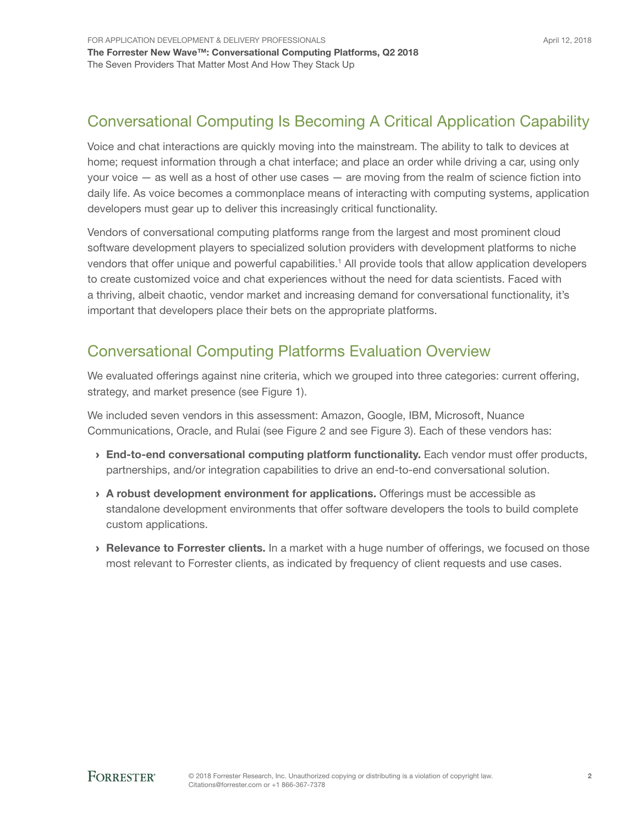# Conversational Computing Is Becoming A Critical Application Capability

Voice and chat interactions are quickly moving into the mainstream. The ability to talk to devices at home; request information through a chat interface; and place an order while driving a car, using only your voice — as well as a host of other use cases — are moving from the realm of science fiction into daily life. As voice becomes a commonplace means of interacting with computing systems, application developers must gear up to deliver this increasingly critical functionality.

Vendors of conversational computing platforms range from the largest and most prominent cloud software development players to specialized solution providers with development platforms to niche vendors that offer unique and powerful capabilities.<sup>1</sup> All provide tools that allow application developers to create customized voice and chat experiences without the need for data scientists. Faced with a thriving, albeit chaotic, vendor market and increasing demand for conversational functionality, it's important that developers place their bets on the appropriate platforms.

# Conversational Computing Platforms Evaluation Overview

We evaluated offerings against nine criteria, which we grouped into three categories: current offering, strategy, and market presence (see Figure 1).

We included seven vendors in this assessment: Amazon, Google, IBM, Microsoft, Nuance Communications, Oracle, and Rulai (see Figure 2 and see Figure 3). Each of these vendors has:

- > End-to-end conversational computing platform functionality. Each vendor must offer products, partnerships, and/or integration capabilities to drive an end-to-end conversational solution.
- › A robust development environment for applications. Offerings must be accessible as standalone development environments that offer software developers the tools to build complete custom applications.
- › Relevance to Forrester clients. In a market with a huge number of offerings, we focused on those most relevant to Forrester clients, as indicated by frequency of client requests and use cases.

April 12, 2018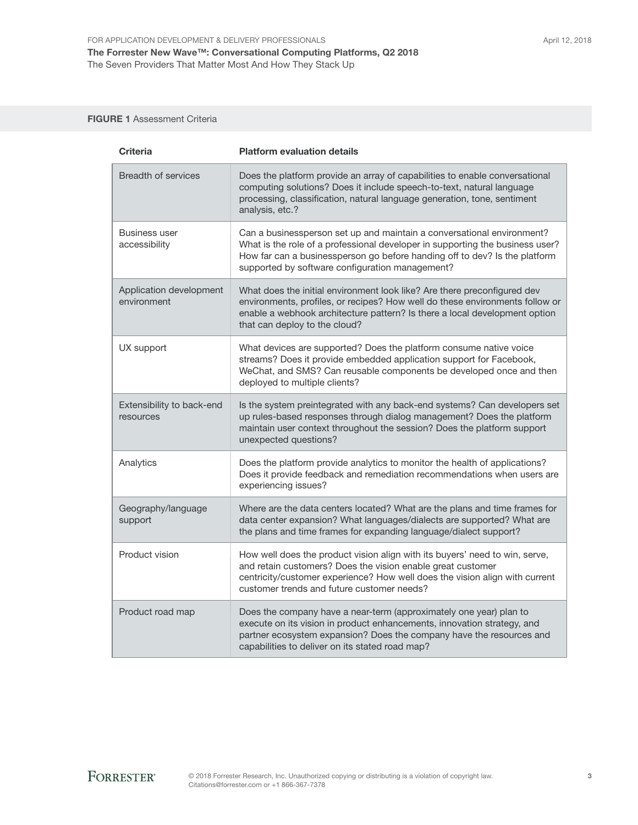#### FIGURE 1 Assessment Criteria

| <b>Criteria</b>                        | <b>Platform evaluation details</b>                                                                                                                                                                                                                                                       |
|----------------------------------------|------------------------------------------------------------------------------------------------------------------------------------------------------------------------------------------------------------------------------------------------------------------------------------------|
| <b>Breadth of services</b>             | Does the platform provide an array of capabilities to enable conversational<br>computing solutions? Does it include speech-to-text, natural language<br>processing, classification, natural language generation, tone, sentiment<br>analysis, etc.?                                      |
| <b>Business user</b><br>accessibility  | Can a businessperson set up and maintain a conversational environment?<br>What is the role of a professional developer in supporting the business user?<br>How far can a businessperson go before handing off to dev? Is the platform<br>supported by software configuration management? |
| Application development<br>environment | What does the initial environment look like? Are there preconfigured dev<br>environments, profiles, or recipes? How well do these environments follow or<br>enable a webhook architecture pattern? Is there a local development option<br>that can deploy to the cloud?                  |
| UX support                             | What devices are supported? Does the platform consume native voice<br>streams? Does it provide embedded application support for Facebook,<br>WeChat, and SMS? Can reusable components be developed once and then<br>deployed to multiple clients?                                        |
| Extensibility to back-end<br>resources | Is the system preintegrated with any back-end systems? Can developers set<br>up rules-based responses through dialog management? Does the platform<br>maintain user context throughout the session? Does the platform support<br>unexpected questions?                                   |
| Analytics                              | Does the platform provide analytics to monitor the health of applications?<br>Does it provide feedback and remediation recommendations when users are<br>experiencing issues?                                                                                                            |
| Geography/language<br>support          | Where are the data centers located? What are the plans and time frames for<br>data center expansion? What languages/dialects are supported? What are<br>the plans and time frames for expanding language/dialect support?                                                                |
| Product vision                         | How well does the product vision align with its buyers' need to win, serve,<br>and retain customers? Does the vision enable great customer<br>centricity/customer experience? How well does the vision align with current<br>customer trends and future customer needs?                  |
| Product road map                       | Does the company have a near-term (approximately one year) plan to<br>execute on its vision in product enhancements, innovation strategy, and<br>partner ecosystem expansion? Does the company have the resources and<br>capabilities to deliver on its stated road map?                 |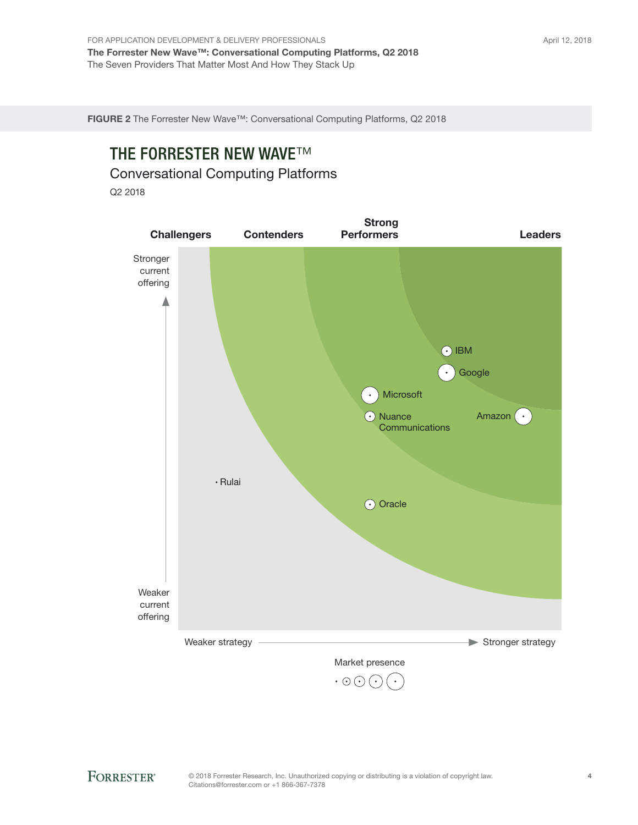FIGURE 2 The Forrester New Wave™: Conversational Computing Platforms, Q2 2018

# **THE FORRESTER NEW WAVE™**

Conversational Computing Platforms

Q2 2018

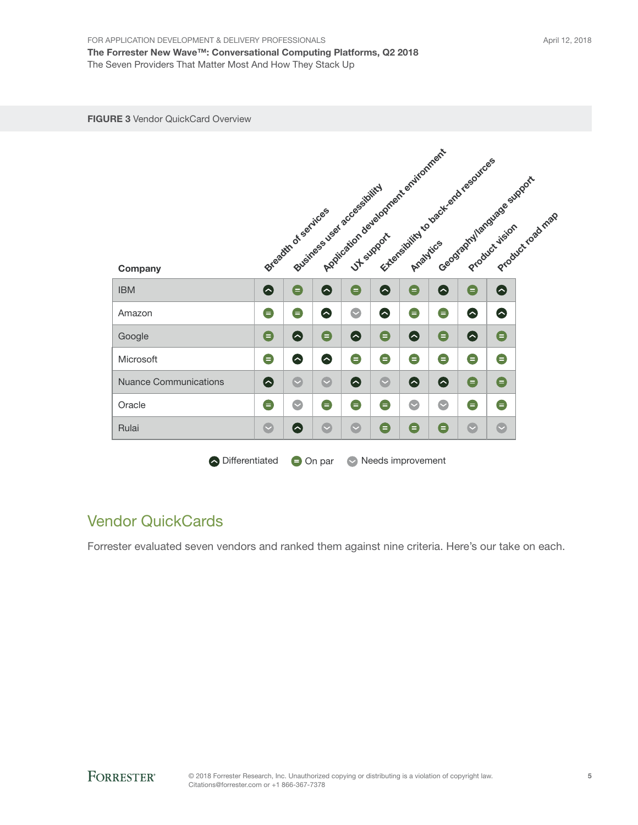| Company                      |           | Breadth of services |                   | Application development equivalently<br>Business user accessibility |           | Extensibility to back and resources |           | Geographyllanguage support | Product road map |
|------------------------------|-----------|---------------------|-------------------|---------------------------------------------------------------------|-----------|-------------------------------------|-----------|----------------------------|------------------|
| <b>IBM</b>                   | $\bullet$ | $\bullet$           | $\bullet$         | $\bullet$                                                           | ●         | $\bullet$                           | $\bullet$ | $\bullet$                  | $\bullet$        |
| Amazon                       | $\bullet$ | $\bullet$           | $\bullet$         | $\bullet$                                                           | ●         | $\bullet$                           | $\bullet$ | ●                          | $\bullet$        |
| Google                       | $\bullet$ | $\bullet$           | $\bullet$         | ➊                                                                   | $\bullet$ | $\bullet$                           | $\bullet$ | ♦                          | $\bullet$        |
| Microsoft                    | $\bullet$ | $\bullet$           | $\bullet$         | $\bullet$                                                           | $\bullet$ | $\bullet$                           | $\bullet$ | $\bullet$                  | $\bullet$        |
| <b>Nuance Communications</b> | ●         | $\bullet$           | $\bullet$         | ♦                                                                   | $\bullet$ | $\bullet$                           | $\bullet$ | $\bullet$                  | $\bullet$        |
| Oracle                       | $\bullet$ | $\bullet$           | $\bullet$         | $\bullet$                                                           | $\bullet$ | $\bullet$                           | $\bullet$ | $\bullet$                  | $\bullet$        |
| Rulai                        | $\bullet$ | $\bullet$           | $\bullet$         | $\bullet$                                                           | $\bullet$ | $\bullet$                           | $\bullet$ | $\bullet$                  | $\bullet$        |
| O Differentiated             |           |                     | $\bigcirc$ On par | $\bullet$                                                           |           | Needs improvement                   |           |                            |                  |

# Vendor QuickCards

Forrester evaluated seven vendors and ranked them against nine criteria. Here's our take on each.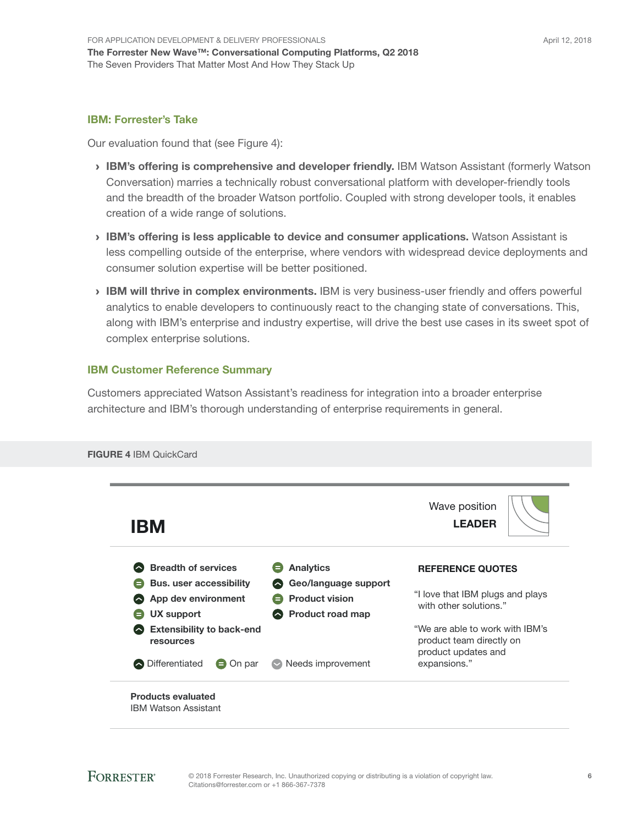#### IBM: Forrester's Take

Our evaluation found that (see Figure 4):

- › IBM's offering is comprehensive and developer friendly. IBM Watson Assistant (formerly Watson Conversation) marries a technically robust conversational platform with developer-friendly tools and the breadth of the broader Watson portfolio. Coupled with strong developer tools, it enables creation of a wide range of solutions.
- › IBM's offering is less applicable to device and consumer applications. Watson Assistant is less compelling outside of the enterprise, where vendors with widespread device deployments and consumer solution expertise will be better positioned.
- › IBM will thrive in complex environments. IBM is very business-user friendly and offers powerful analytics to enable developers to continuously react to the changing state of conversations. This, along with IBM's enterprise and industry expertise, will drive the best use cases in its sweet spot of complex enterprise solutions.

#### IBM Customer Reference Summary

Customers appreciated Watson Assistant's readiness for integration into a broader enterprise architecture and IBM's thorough understanding of enterprise requirements in general.

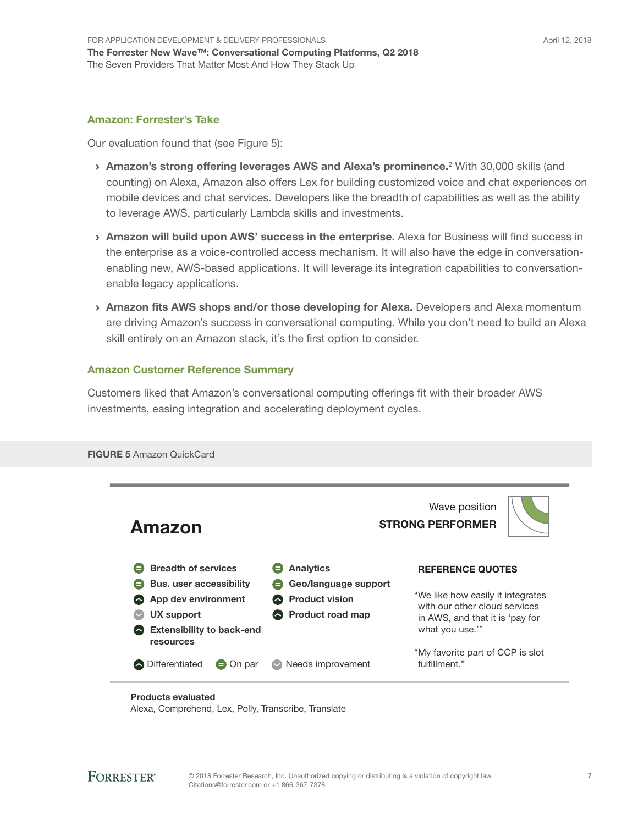#### Amazon: Forrester's Take

Our evaluation found that (see Figure 5):

- **Amazon's strong offering leverages AWS and Alexa's prominence.**<sup>2</sup> With 30,000 skills (and counting) on Alexa, Amazon also offers Lex for building customized voice and chat experiences on mobile devices and chat services. Developers like the breadth of capabilities as well as the ability to leverage AWS, particularly Lambda skills and investments.
- > Amazon will build upon AWS' success in the enterprise. Alexa for Business will find success in the enterprise as a voice-controlled access mechanism. It will also have the edge in conversationenabling new, AWS-based applications. It will leverage its integration capabilities to conversationenable legacy applications.
- › Amazon fits AWS shops and/or those developing for Alexa. Developers and Alexa momentum are driving Amazon's success in conversational computing. While you don't need to build an Alexa skill entirely on an Amazon stack, it's the first option to consider.

#### Amazon Customer Reference Summary

FIGURE 5 Amazon QuickCard

Customers liked that Amazon's conversational computing offerings fit with their broader AWS investments, easing integration and accelerating deployment cycles.



Alexa, Comprehend, Lex, Polly, Transcribe, Translate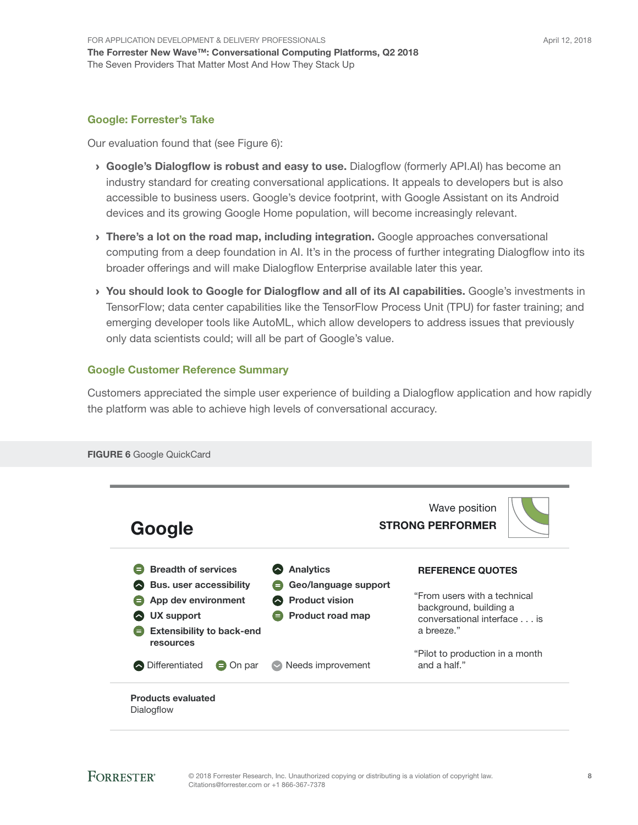#### Google: Forrester's Take

Our evaluation found that (see Figure 6):

- › Google's Dialogflow is robust and easy to use. Dialogflow (formerly API.AI) has become an industry standard for creating conversational applications. It appeals to developers but is also accessible to business users. Google's device footprint, with Google Assistant on its Android devices and its growing Google Home population, will become increasingly relevant.
- **I** There's a lot on the road map, including integration. Google approaches conversational computing from a deep foundation in AI. It's in the process of further integrating Dialogflow into its broader offerings and will make Dialogflow Enterprise available later this year.
- › You should look to Google for Dialogflow and all of its AI capabilities. Google's investments in TensorFlow; data center capabilities like the TensorFlow Process Unit (TPU) for faster training; and emerging developer tools like AutoML, which allow developers to address issues that previously only data scientists could; will all be part of Google's value.

#### Google Customer Reference Summary

Customers appreciated the simple user experience of building a Dialogflow application and how rapidly the platform was able to achieve high levels of conversational accuracy.

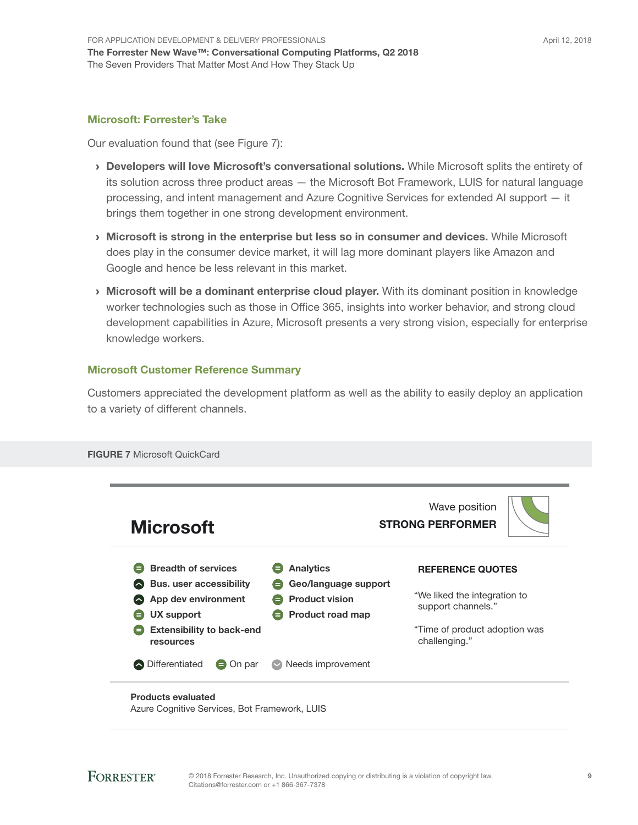#### Microsoft: Forrester's Take

Our evaluation found that (see Figure 7):

- › Developers will love Microsoft's conversational solutions. While Microsoft splits the entirety of its solution across three product areas — the Microsoft Bot Framework, LUIS for natural language processing, and intent management and Azure Cognitive Services for extended AI support — it brings them together in one strong development environment.
- › Microsoft is strong in the enterprise but less so in consumer and devices. While Microsoft does play in the consumer device market, it will lag more dominant players like Amazon and Google and hence be less relevant in this market.
- › Microsoft will be a dominant enterprise cloud player. With its dominant position in knowledge worker technologies such as those in Office 365, insights into worker behavior, and strong cloud development capabilities in Azure, Microsoft presents a very strong vision, especially for enterprise knowledge workers.

#### Microsoft Customer Reference Summary

Customers appreciated the development platform as well as the ability to easily deploy an application to a variety of different channels.



**FORRESTER®**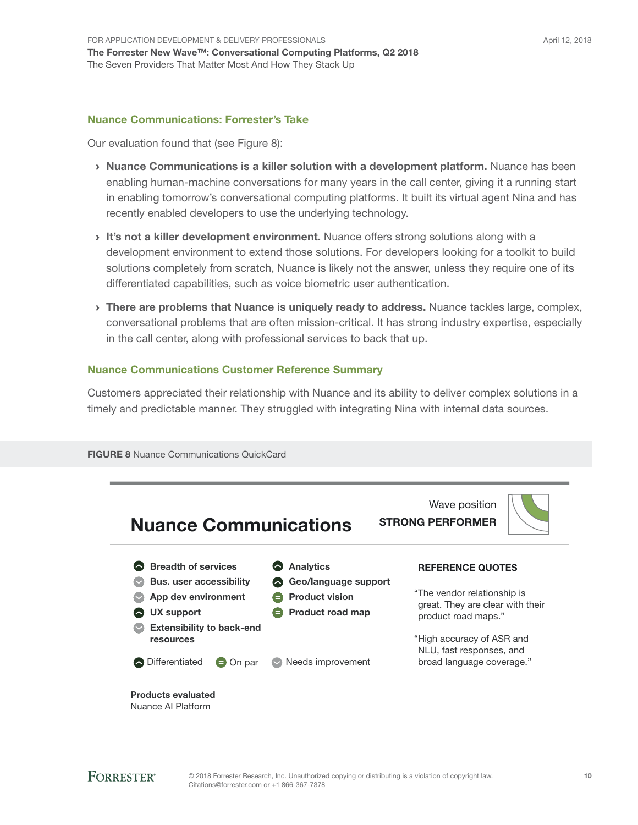#### Nuance Communications: Forrester's Take

Our evaluation found that (see Figure 8):

- › Nuance Communications is a killer solution with a development platform. Nuance has been enabling human-machine conversations for many years in the call center, giving it a running start in enabling tomorrow's conversational computing platforms. It built its virtual agent Nina and has recently enabled developers to use the underlying technology.
- It's not a killer development environment. Nuance offers strong solutions along with a development environment to extend those solutions. For developers looking for a toolkit to build solutions completely from scratch, Nuance is likely not the answer, unless they require one of its differentiated capabilities, such as voice biometric user authentication.
- > There are problems that Nuance is uniquely ready to address. Nuance tackles large, complex, conversational problems that are often mission-critical. It has strong industry expertise, especially in the call center, along with professional services to back that up.

#### Nuance Communications Customer Reference Summary

Customers appreciated their relationship with Nuance and its ability to deliver complex solutions in a timely and predictable manner. They struggled with integrating Nina with internal data sources.



**FIGURE 8 Nuance Communications QuickCard**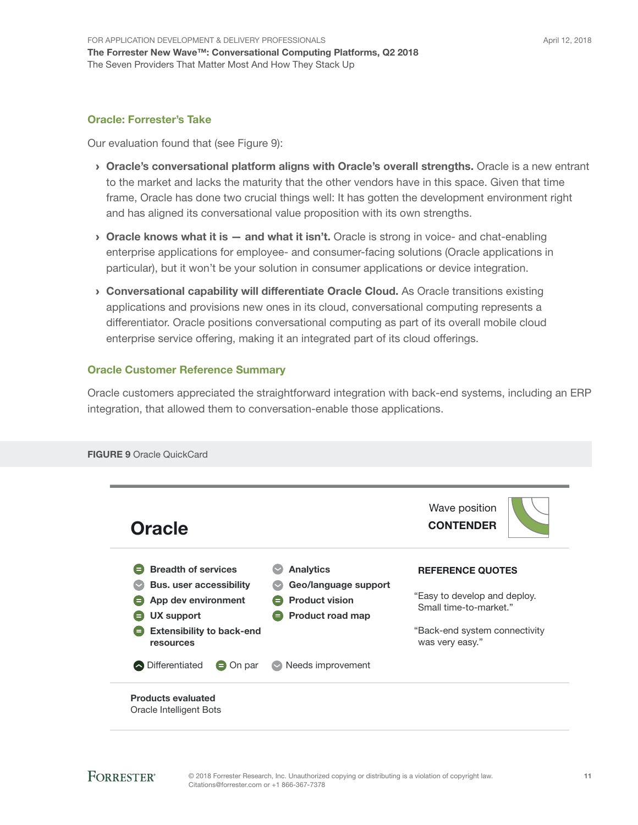#### Oracle: Forrester's Take

Our evaluation found that (see Figure 9):

- › Oracle's conversational platform aligns with Oracle's overall strengths. Oracle is a new entrant to the market and lacks the maturity that the other vendors have in this space. Given that time frame, Oracle has done two crucial things well: It has gotten the development environment right and has aligned its conversational value proposition with its own strengths.
- $\rightarrow$  Oracle knows what it is  $-$  and what it isn't. Oracle is strong in voice- and chat-enabling enterprise applications for employee- and consumer-facing solutions (Oracle applications in particular), but it won't be your solution in consumer applications or device integration.
- › Conversational capability will differentiate Oracle Cloud. As Oracle transitions existing applications and provisions new ones in its cloud, conversational computing represents a differentiator. Oracle positions conversational computing as part of its overall mobile cloud enterprise service offering, making it an integrated part of its cloud offerings.

#### Oracle Customer Reference Summary

Oracle customers appreciated the straightforward integration with back-end systems, including an ERP integration, that allowed them to conversation-enable those applications.



FIGURE 9 Oracle QuickCard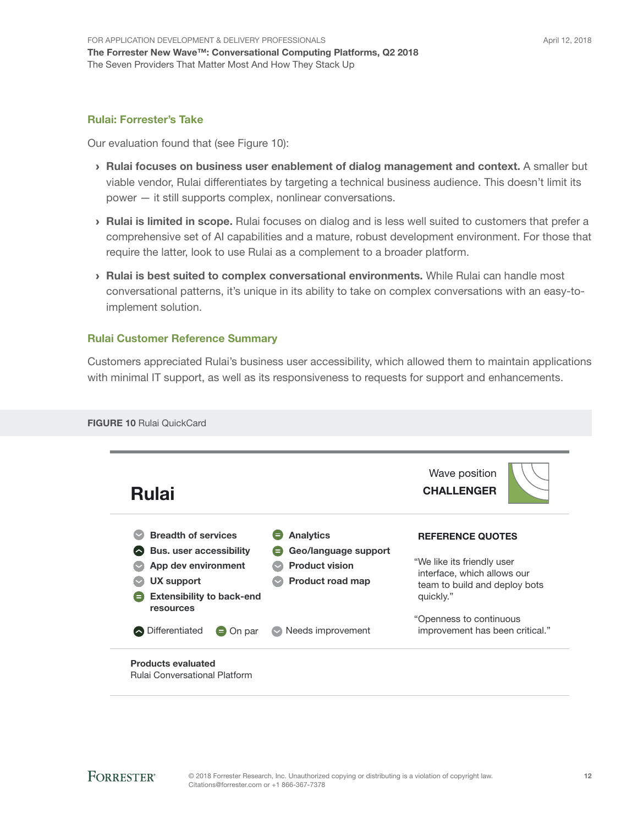#### Rulai: Forrester's Take

Our evaluation found that (see Figure 10):

- › Rulai focuses on business user enablement of dialog management and context. A smaller but viable vendor, Rulai differentiates by targeting a technical business audience. This doesn't limit its power — it still supports complex, nonlinear conversations.
- › Rulai is limited in scope. Rulai focuses on dialog and is less well suited to customers that prefer a comprehensive set of AI capabilities and a mature, robust development environment. For those that require the latter, look to use Rulai as a complement to a broader platform.
- › Rulai is best suited to complex conversational environments. While Rulai can handle most conversational patterns, it's unique in its ability to take on complex conversations with an easy-toimplement solution.

#### Rulai Customer Reference Summary

Customers appreciated Rulai's business user accessibility, which allowed them to maintain applications with minimal IT support, as well as its responsiveness to requests for support and enhancements.



FIGURE 10 Rulai QuickCard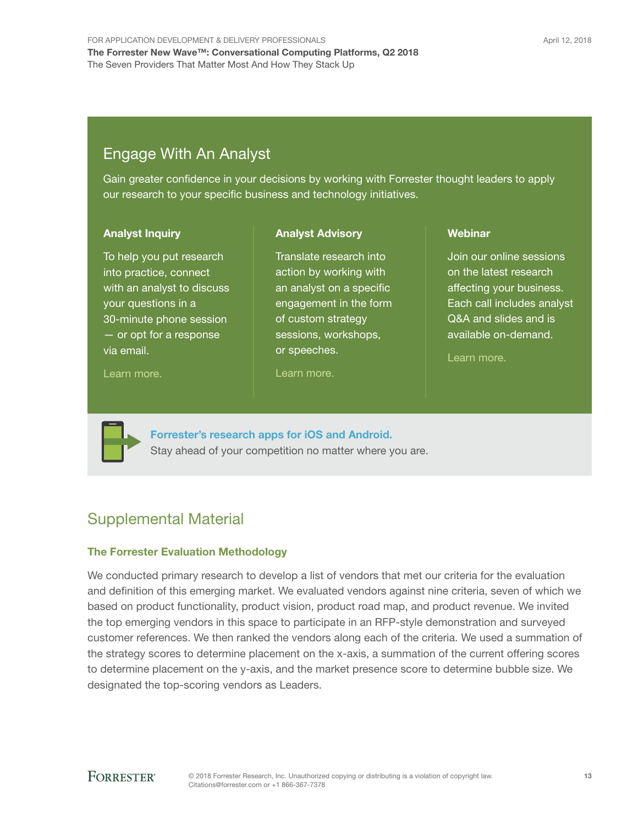# Engage With An Analyst

Gain greater confidence in your decisions by working with Forrester thought leaders to apply our research to your specific business and technology initiatives.

> Translate research into action by working with an analyst on a specific engagement in the form of custom strategy sessions, workshops,

Analyst Advisory

#### Analyst Inquiry

To help you put research into practice, connect with an analyst to discuss your questions in a 30-minute phone session — or opt for a response via email.

[Learn more.](http://forr.com/1einFan)

[Learn more.](http://www.forrester.com/Analyst-Advisory/-/E-MPL172)

or speeches.

**Webinar** 

Join our online sessions on the latest research affecting your business. Each call includes analyst Q&A and slides and is available on-demand.

[Learn more](https://www.forrester.com/events?N=10006+5025).



[Forrester's research apps for iOS and Android.](http://www.forrester.com/app) Stay ahead of your competition no matter where you are.

# Supplemental Material

#### The Forrester Evaluation Methodology

We conducted primary research to develop a list of vendors that met our criteria for the evaluation and definition of this emerging market. We evaluated vendors against nine criteria, seven of which we based on product functionality, product vision, product road map, and product revenue. We invited the top emerging vendors in this space to participate in an RFP-style demonstration and surveyed customer references. We then ranked the vendors along each of the criteria. We used a summation of the strategy scores to determine placement on the x-axis, a summation of the current offering scores to determine placement on the y-axis, and the market presence score to determine bubble size. We designated the top-scoring vendors as Leaders.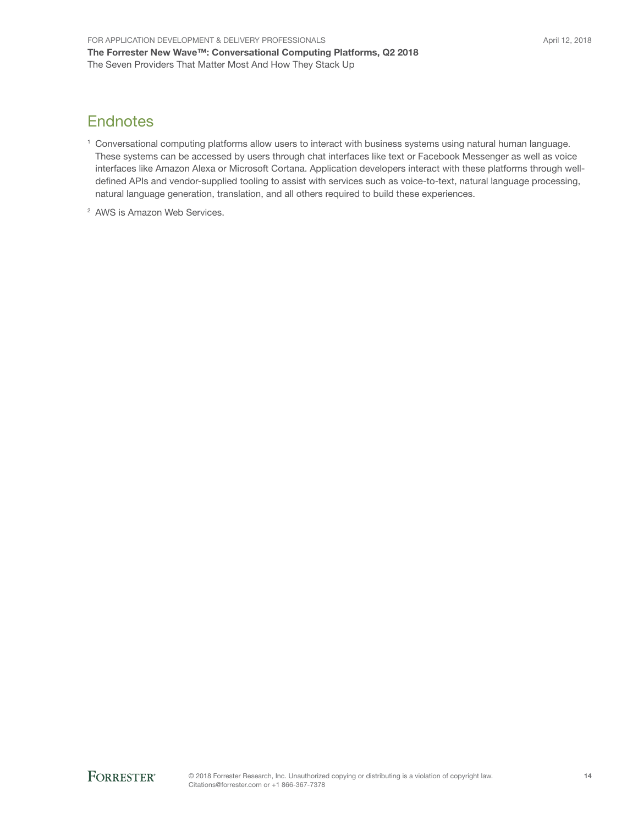### **Endnotes**

- <sup>1</sup> Conversational computing platforms allow users to interact with business systems using natural human language. These systems can be accessed by users through chat interfaces like text or Facebook Messenger as well as voice interfaces like Amazon Alexa or Microsoft Cortana. Application developers interact with these platforms through welldefined APIs and vendor-supplied tooling to assist with services such as voice-to-text, natural language processing, natural language generation, translation, and all others required to build these experiences.
- <sup>2</sup> AWS is Amazon Web Services.